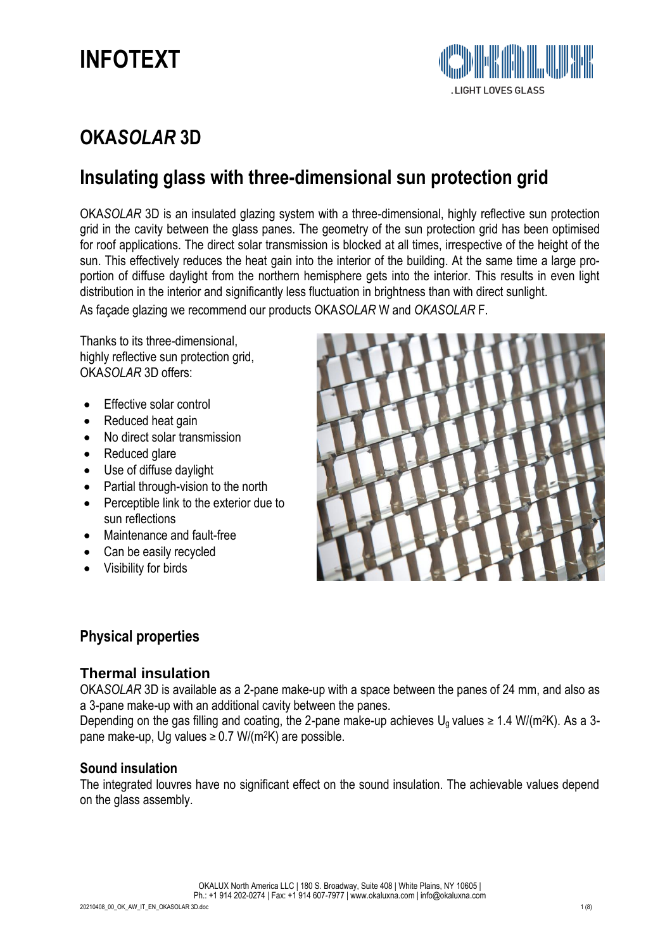

## **OKA***SOLAR* **3D**

## **Insulating glass with three-dimensional sun protection grid**

OKA*SOLAR* 3D is an insulated glazing system with a three-dimensional, highly reflective sun protection grid in the cavity between the glass panes. The geometry of the sun protection grid has been optimised for roof applications. The direct solar transmission is blocked at all times, irrespective of the height of the sun. This effectively reduces the heat gain into the interior of the building. At the same time a large proportion of diffuse daylight from the northern hemisphere gets into the interior. This results in even light distribution in the interior and significantly less fluctuation in brightness than with direct sunlight.

As façade glazing we recommend our products OKA*SOLAR* W and *OKASOLAR* F.

Thanks to its three-dimensional, highly reflective sun protection grid, OKA*SOLAR* 3D offers:

- Effective solar control
- Reduced heat gain
- No direct solar transmission
- Reduced glare
- Use of diffuse daylight
- Partial through-vision to the north
- Perceptible link to the exterior due to sun reflections
- Maintenance and fault-free
- Can be easily recycled
- Visibility for birds



## **Physical properties**

#### **Thermal insulation**

OKA*SOLAR* 3D is available as a 2-pane make-up with a space between the panes of 24 mm, and also as a 3-pane make-up with an additional cavity between the panes.

Depending on the gas filling and coating, the 2-pane make-up achieves  $U<sub>o</sub>$  values ≥ 1.4 W/(m<sup>2</sup>K). As a 3pane make-up, Ug values  $\geq$  0.7 W/(m<sup>2</sup>K) are possible.

#### **Sound insulation**

The integrated louvres have no significant effect on the sound insulation. The achievable values depend on the glass assembly.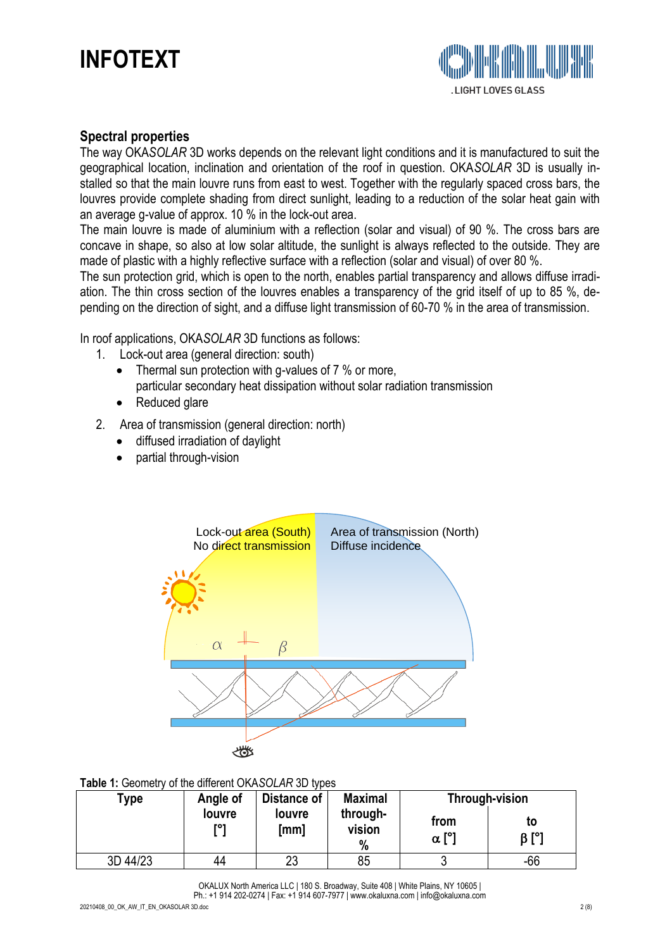

#### **Spectral properties**

The way OKA*SOLAR* 3D works depends on the relevant light conditions and it is manufactured to suit the geographical location, inclination and orientation of the roof in question. OKA*SOLAR* 3D is usually installed so that the main louvre runs from east to west. Together with the regularly spaced cross bars, the louvres provide complete shading from direct sunlight, leading to a reduction of the solar heat gain with an average g-value of approx. 10 % in the lock-out area.

The main louvre is made of aluminium with a reflection (solar and visual) of 90 %. The cross bars are concave in shape, so also at low solar altitude, the sunlight is always reflected to the outside. They are made of plastic with a highly reflective surface with a reflection (solar and visual) of over 80 %.

The sun protection grid, which is open to the north, enables partial transparency and allows diffuse irradiation. The thin cross section of the louvres enables a transparency of the grid itself of up to 85 %, depending on the direction of sight, and a diffuse light transmission of 60-70 % in the area of transmission.

In roof applications, OKA*SOLAR* 3D functions as follows:

- 1. Lock-out area (general direction: south)
	- Thermal sun protection with q-values of 7 % or more, particular secondary heat dissipation without solar radiation transmission
	- Reduced glare
- 2. Area of transmission (general direction: north)
	- diffused irradiation of daylight
	- partial through-vision



#### **Table 1:** Geometry of the different OKA*SOLAR* 3D types

| Type     | Angle of      | <b>Distance of</b> | <b>Maximal</b>          | Through-vision      |                   |  |
|----------|---------------|--------------------|-------------------------|---------------------|-------------------|--|
|          | louvre<br>roı | louvre<br>[mm]     | through-<br>vision<br>% | from<br>$\alpha$ [° | to<br>$\beta$ [°] |  |
| 3D 44/23 | 44            | 23                 | 85                      |                     | $-66$             |  |

OKALUX North America LLC | 180 S. Broadway, Suite 408 | White Plains, NY 10605 | Ph.: +1 914 202-0274 | Fax: +1 914 607-7977 | [www.okalux](mailto:info@okalux.de)na.com | info@okaluxna.com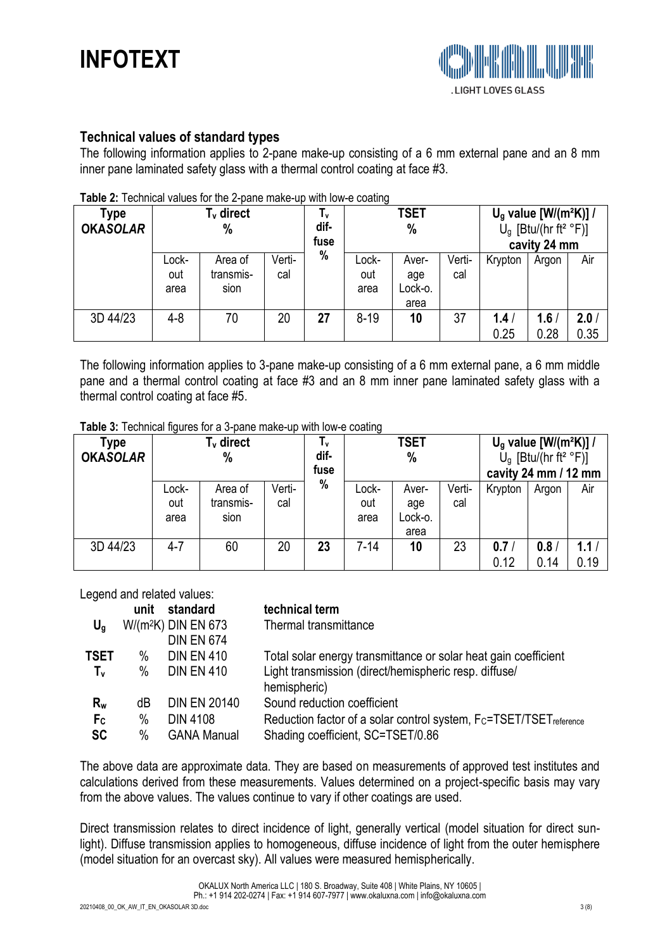

## **Technical values of standard types**

The following information applies to 2-pane make-up consisting of a 6 mm external pane and an 8 mm inner pane laminated safety glass with a thermal control coating at face #3.

| <b>able 2.</b> Technical values for the z-parie make-up with low-e coating |              |           |        |      |             |         |        |                                      |       |                  |
|----------------------------------------------------------------------------|--------------|-----------|--------|------|-------------|---------|--------|--------------------------------------|-------|------------------|
| Type                                                                       | $T_v$ direct |           |        | Ιv   | <b>TSET</b> |         |        | $U_q$ value [W/(m <sup>2</sup> K)] / |       |                  |
| <b>OKASOLAR</b>                                                            | $\%$         |           |        | dif- | %           |         |        | $U_q$ [Btu/(hr ft <sup>2</sup> °F)]  |       |                  |
|                                                                            |              |           |        | fuse |             |         |        | cavity 24 mm                         |       |                  |
|                                                                            | Lock-        | Area of   | Verti- | %    | Lock-       | Aver-   | Verti- | Krypton                              | Argon | Air              |
|                                                                            | out          | transmis- | cal    |      | out         | age     | cal    |                                      |       |                  |
|                                                                            | area         | sion      |        |      | area        | Lock-o. |        |                                      |       |                  |
|                                                                            |              |           |        |      |             | area    |        |                                      |       |                  |
| 3D 44/23                                                                   | $4 - 8$      | 70        | 20     | 27   | $8 - 19$    | 10      | 37     | 1.4 <sub>l</sub>                     | 1.6   | 2.0 <sub>1</sub> |
|                                                                            |              |           |        |      |             |         |        | 0.25                                 | 0.28  | 0.35             |

**Table 2:** Technical values for the 2-pane make-up with low-e coating

The following information applies to 3-pane make-up consisting of a 6 mm external pane, a 6 mm middle pane and a thermal control coating at face #3 and an 8 mm inner pane laminated safety glass with a thermal control coating at face #5.

**Table 3:** Technical figures for a 3-pane make-up with low-e coating

| Type<br><b>OKASOLAR</b> | T <sub>v</sub> direct<br>% |                              |               | Ιv<br>dif-<br>fuse | <b>TSET</b><br>%     |                                 |               | $U_q$ value $[ W/(m^2K)] /$<br>$U_q$ [Btu/(hr ft <sup>2</sup> °F)]<br>cavity 24 mm / 12 mm |             |                          |
|-------------------------|----------------------------|------------------------------|---------------|--------------------|----------------------|---------------------------------|---------------|--------------------------------------------------------------------------------------------|-------------|--------------------------|
|                         | Lock-<br>out<br>area       | Area of<br>transmis-<br>sion | Verti-<br>cal | %                  | Lock-<br>out<br>area | Aver-<br>age<br>Lock-o.<br>area | Verti-<br>cal | Krypton                                                                                    | Argon       | Air                      |
| 3D 44/23                | $4 - 7$                    | 60                           | 20            | 23                 | 7-14                 | 10                              | 23            | 0.7<br>0.12                                                                                | 0.8<br>0.14 | 1.1 <sub>1</sub><br>0.19 |

Legend and related values:

|                | unit | standard              | technical term                                                                             |
|----------------|------|-----------------------|--------------------------------------------------------------------------------------------|
| $U_q$          |      | $W/(m^2K)$ DIN EN 673 | Thermal transmittance                                                                      |
|                |      | <b>DIN EN 674</b>     |                                                                                            |
| <b>TSET</b>    | %    | <b>DIN EN 410</b>     | Total solar energy transmittance or solar heat gain coefficient                            |
| $T_{\rm v}$    | %    | <b>DIN EN 410</b>     | Light transmission (direct/hemispheric resp. diffuse/<br>hemispheric)                      |
| $R_{w}$        | dB   | <b>DIN EN 20140</b>   | Sound reduction coefficient                                                                |
| F <sub>c</sub> | %    | <b>DIN 4108</b>       | Reduction factor of a solar control system, F <sub>C</sub> =TSET/TSET <sub>reference</sub> |
| <b>SC</b>      | $\%$ | <b>GANA Manual</b>    | Shading coefficient, SC=TSET/0.86                                                          |
|                |      |                       |                                                                                            |

The above data are approximate data. They are based on measurements of approved test institutes and calculations derived from these measurements. Values determined on a project-specific basis may vary from the above values. The values continue to vary if other coatings are used.

Direct transmission relates to direct incidence of light, generally vertical (model situation for direct sunlight). Diffuse transmission applies to homogeneous, diffuse incidence of light from the outer hemisphere (model situation for an overcast sky). All values were measured hemispherically.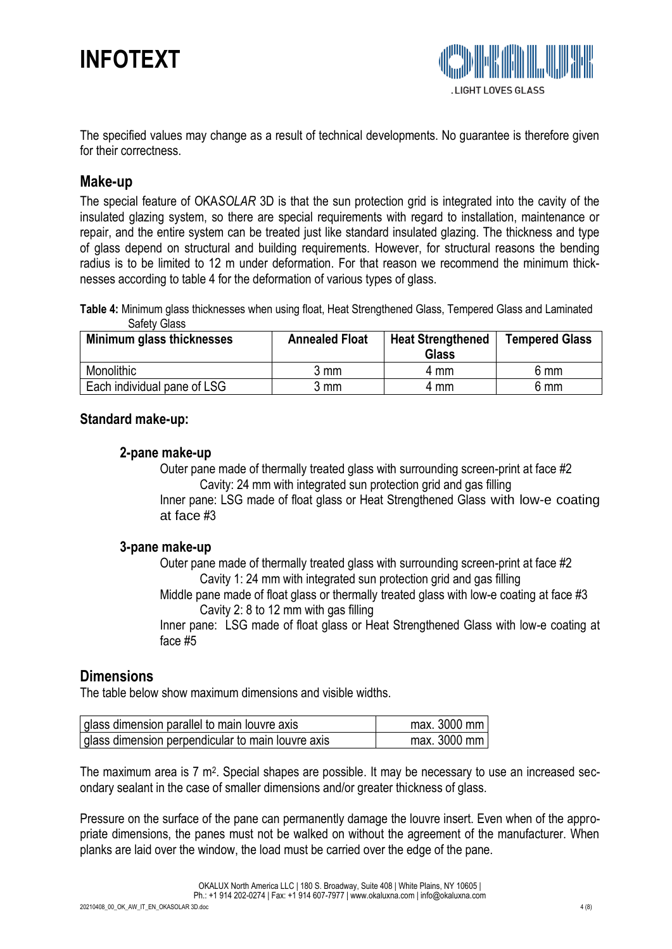

The specified values may change as a result of technical developments. No guarantee is therefore given for their correctness.

## **Make-up**

The special feature of OKA*SOLAR* 3D is that the sun protection grid is integrated into the cavity of the insulated glazing system, so there are special requirements with regard to installation, maintenance or repair, and the entire system can be treated just like standard insulated glazing. The thickness and type of glass depend on structural and building requirements. However, for structural reasons the bending radius is to be limited to 12 m under deformation. For that reason we recommend the minimum thicknesses according to table 4 for the deformation of various types of glass.

**Table 4:** Minimum glass thicknesses when using float, Heat Strengthened Glass, Tempered Glass and Laminated Safety Glass

| Minimum glass thicknesses   | <b>Annealed Float</b> | <b>Heat Strengthened</b><br><b>Glass</b> | <b>Tempered Glass</b> |  |
|-----------------------------|-----------------------|------------------------------------------|-----------------------|--|
| Monolithic                  | 3 mm                  | 4 mm                                     | 6 mm                  |  |
| Each individual pane of LSG | 3 mm                  | 4 mm                                     | 6 mm                  |  |

### **Standard make-up:**

#### **2-pane make-up**

Outer pane made of thermally treated glass with surrounding screen-print at face #2 Cavity: 24 mm with integrated sun protection grid and gas filling Inner pane: LSG made of float glass or Heat Strengthened Glass with low-e coating at face #3

#### **3-pane make-up**

Outer pane made of thermally treated glass with surrounding screen-print at face #2 Cavity 1: 24 mm with integrated sun protection grid and gas filling

Middle pane made of float glass or thermally treated glass with low-e coating at face #3 Cavity 2: 8 to 12 mm with gas filling

Inner pane: LSG made of float glass or Heat Strengthened Glass with low-e coating at face #5

## **Dimensions**

The table below show maximum dimensions and visible widths.

| glass dimension parallel to main louvre axis      | $max. 3000$ mm |
|---------------------------------------------------|----------------|
| glass dimension perpendicular to main louvre axis | max. $3000$ mm |

The maximum area is 7 m<sup>2</sup>. Special shapes are possible. It may be necessary to use an increased secondary sealant in the case of smaller dimensions and/or greater thickness of glass.

Pressure on the surface of the pane can permanently damage the louvre insert. Even when of the appropriate dimensions, the panes must not be walked on without the agreement of the manufacturer. When planks are laid over the window, the load must be carried over the edge of the pane.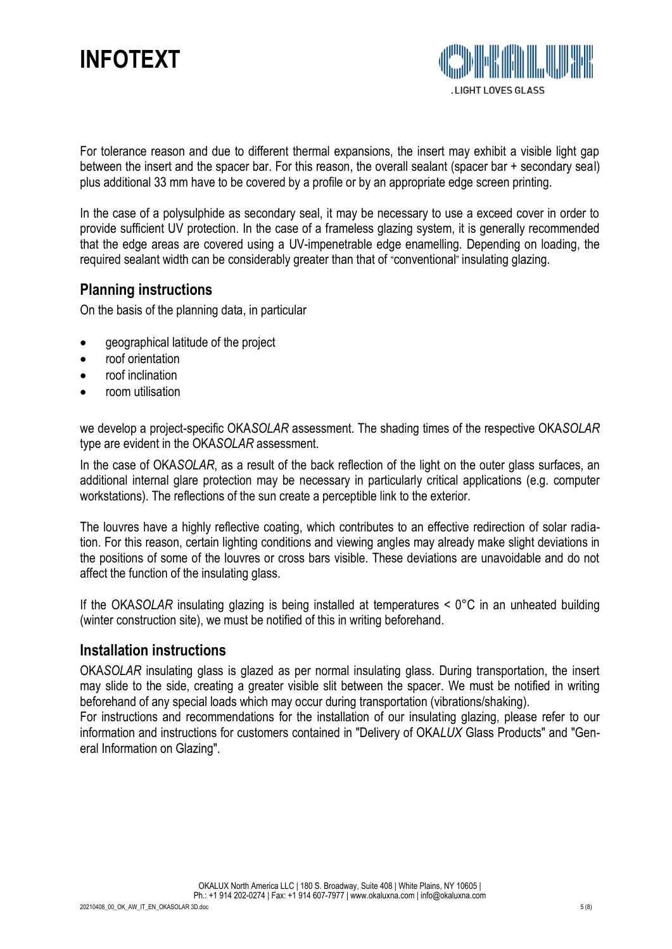For tolerance reason and due to different thermal expansions, the insert may exhibit a visible light gap between the insert and the spacer bar. For this reason, the overall sealant (spacer bar + secondary seal) plus additional 33 mm have to be covered by a profile or by an appropriate edge screen printing.

In the case of a polysulphide as secondary seal, it may be necessary to use a exceed cover in order to provide sufficient UV protection. In the case of a frameless glazing system, it is generally recommended that the edge areas are covered using a UV-impenetrable edge enamelling. Depending on loading, the required sealant width can be considerably greater than that of "conventional" insulating glazing.

## **Planning instructions**

On the basis of the planning data, in particular

- geographical latitude of the project
- roof orientation
- roof inclination
- room utilisation

we develop a project-specific OKA*SOLAR* assessment. The shading times of the respective OKA*SOLAR*  type are evident in the OKA*SOLAR* assessment.

In the case of OKA*SOLAR*, as a result of the back reflection of the light on the outer glass surfaces, an additional internal glare protection may be necessary in particularly critical applications (e.g. computer workstations). The reflections of the sun create a perceptible link to the exterior.

The louvres have a highly reflective coating, which contributes to an effective redirection of solar radiation. For this reason, certain lighting conditions and viewing angles may already make slight deviations in the positions of some of the louvres or cross bars visible. These deviations are unavoidable and do not affect the function of the insulating glass.

If the OKA*SOLAR* insulating glazing is being installed at temperatures < 0°C in an unheated building (winter construction site), we must be notified of this in writing beforehand.

## **Installation instructions**

OKA*SOLAR* insulating glass is glazed as per normal insulating glass. During transportation, the insert may slide to the side, creating a greater visible slit between the spacer. We must be notified in writing beforehand of any special loads which may occur during transportation (vibrations/shaking).

For instructions and recommendations for the installation of our insulating glazing, please refer to our information and instructions for customers contained in "Delivery of OKA*LUX* Glass Products" and "General Information on Glazing".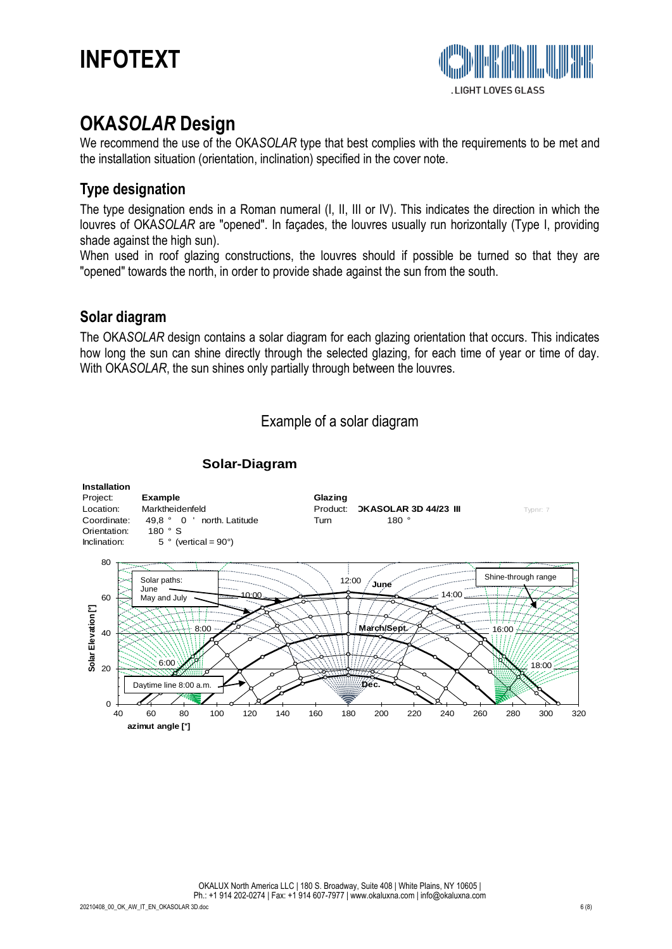



## **OKA***SOLAR* **Design**

We recommend the use of the OKA*SOLAR* type that best complies with the requirements to be met and the installation situation (orientation, inclination) specified in the cover note.

## **Type designation**

The type designation ends in a Roman numeral (I, II, III or IV). This indicates the direction in which the louvres of OKA*SOLAR* are "opened". In façades, the louvres usually run horizontally (Type I, providing shade against the high sun).

When used in roof glazing constructions, the louvres should if possible be turned so that they are "opened" towards the north, in order to provide shade against the sun from the south.

## **Solar diagram**

The OKA*SOLAR* design contains a solar diagram for each glazing orientation that occurs. This indicates how long the sun can shine directly through the selected glazing, for each time of year or time of day. With OKA*SOLAR*, the sun shines only partially through between the louvres.

### Example of a solar diagram



#### **Solar-Diagram**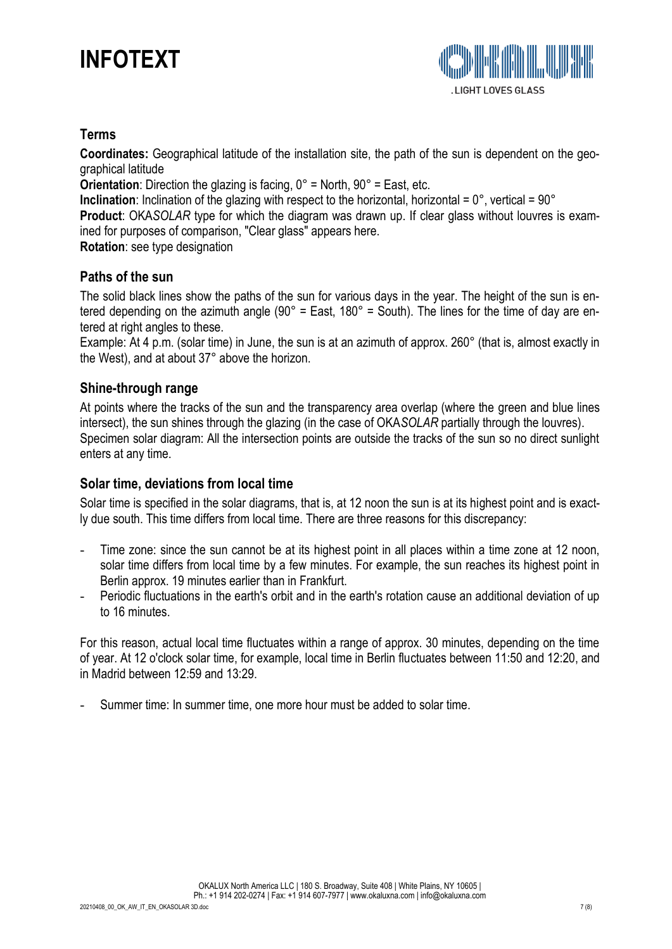## **Terms**

**Coordinates:** Geographical latitude of the installation site, the path of the sun is dependent on the geographical latitude

**Orientation**: Direction the glazing is facing,  $0^{\circ}$  = North,  $90^{\circ}$  = East, etc.

**Inclination**: Inclination of the glazing with respect to the horizontal, horizontal = 0°, vertical = 90°

**Product**: OKA*SOLAR* type for which the diagram was drawn up. If clear glass without louvres is examined for purposes of comparison, "Clear glass" appears here.

**Rotation**: see type designation

## **Paths of the sun**

The solid black lines show the paths of the sun for various days in the year. The height of the sun is entered depending on the azimuth angle (90° = East, 180° = South). The lines for the time of day are entered at right angles to these.

Example: At 4 p.m. (solar time) in June, the sun is at an azimuth of approx. 260° (that is, almost exactly in the West), and at about 37° above the horizon.

## **Shine-through range**

At points where the tracks of the sun and the transparency area overlap (where the green and blue lines intersect), the sun shines through the glazing (in the case of OKA*SOLAR* partially through the louvres). Specimen solar diagram: All the intersection points are outside the tracks of the sun so no direct sunlight enters at any time.

## **Solar time, deviations from local time**

Solar time is specified in the solar diagrams, that is, at 12 noon the sun is at its highest point and is exactly due south. This time differs from local time. There are three reasons for this discrepancy:

- Time zone: since the sun cannot be at its highest point in all places within a time zone at 12 noon, solar time differs from local time by a few minutes. For example, the sun reaches its highest point in Berlin approx. 19 minutes earlier than in Frankfurt.
- Periodic fluctuations in the earth's orbit and in the earth's rotation cause an additional deviation of up to 16 minutes.

For this reason, actual local time fluctuates within a range of approx. 30 minutes, depending on the time of year. At 12 o'clock solar time, for example, local time in Berlin fluctuates between 11:50 and 12:20, and in Madrid between 12:59 and 13:29.

Summer time: In summer time, one more hour must be added to solar time.